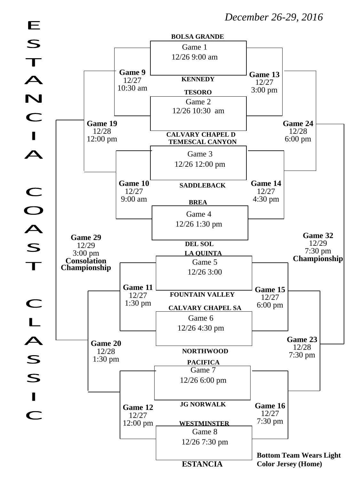